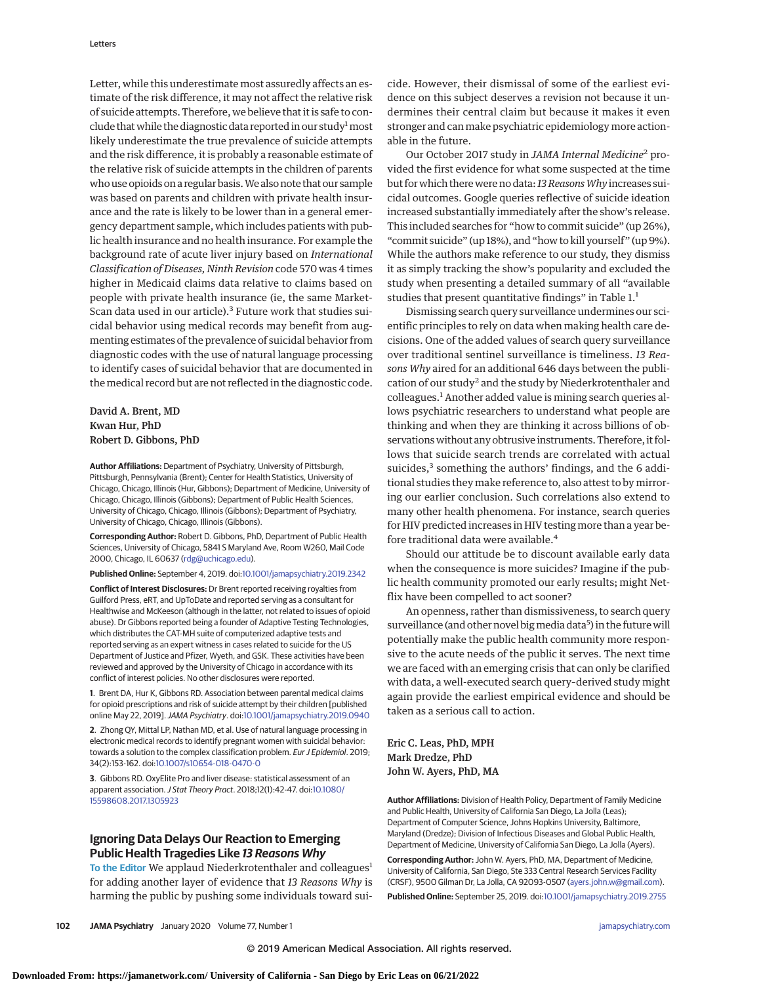Letter, while this underestimate most assuredly affects an estimate of the risk difference, it may not affect the relative risk of suicide attempts. Therefore, we believe that it is safe to conclude that while the diagnostic data reported in our study<sup>1</sup> most likely underestimate the true prevalence of suicide attempts and the risk difference, it is probably a reasonable estimate of the relative risk of suicide attempts in the children of parents who use opioids on a regular basis.We also note that our sample was based on parents and children with private health insurance and the rate is likely to be lower than in a general emergency department sample, which includes patients with public health insurance and no health insurance. For example the background rate of acute liver injury based on *International Classification of Diseases, Ninth Revision* code 570 was 4 times higher in Medicaid claims data relative to claims based on people with private health insurance (ie, the same Market-Scan data used in our article).<sup>3</sup> Future work that studies suicidal behavior using medical records may benefit from augmenting estimates of the prevalence of suicidal behavior from diagnostic codes with the use of natural language processing to identify cases of suicidal behavior that are documented in the medical record but are not reflected in the diagnostic code.

## David A. Brent, MD Kwan Hur, PhD Robert D. Gibbons, PhD

**Author Affiliations:** Department of Psychiatry, University of Pittsburgh, Pittsburgh, Pennsylvania (Brent); Center for Health Statistics, University of Chicago, Chicago, Illinois (Hur, Gibbons); Department of Medicine, University of Chicago, Chicago, Illinois (Gibbons); Department of Public Health Sciences, University of Chicago, Chicago, Illinois (Gibbons); Department of Psychiatry, University of Chicago, Chicago, Illinois (Gibbons).

**Corresponding Author:** Robert D. Gibbons, PhD, Department of Public Health Sciences, University of Chicago, 5841 S Maryland Ave, Room W260, Mail Code 2000, Chicago, IL 60637 [\(rdg@uchicago.edu\)](mailto:rdg@uchicago.edu).

**Published Online:** September 4, 2019. doi[:10.1001/jamapsychiatry.2019.2342](https://jamanetwork.com/journals/jama/fullarticle/10.1001/jamapsychiatry.2019.2342?utm_campaign=articlePDF%26utm_medium=articlePDFlink%26utm_source=articlePDF%26utm_content=jamapsychiatry.2019.2342)

**Conflict of Interest Disclosures:** Dr Brent reported receiving royalties from Guilford Press, eRT, and UpToDate and reported serving as a consultant for Healthwise and McKeeson (although in the latter, not related to issues of opioid abuse). Dr Gibbons reported being a founder of Adaptive Testing Technologies, which distributes the CAT-MH suite of computerized adaptive tests and reported serving as an expert witness in cases related to suicide for the US Department of Justice and Pfizer, Wyeth, and GSK. These activities have been reviewed and approved by the University of Chicago in accordance with its conflict of interest policies. No other disclosures were reported.

**1**. Brent DA, Hur K, Gibbons RD. Association between parental medical claims for opioid prescriptions and risk of suicide attempt by their children [published online May 22, 2019].JAMA Psychiatry. doi[:10.1001/jamapsychiatry.2019.0940](https://jamanetwork.com/journals/jama/fullarticle/10.1001/jamapsychiatry.2019.0940?utm_campaign=articlePDF%26utm_medium=articlePDFlink%26utm_source=articlePDF%26utm_content=jamapsychiatry.2019.2342)

**2**. Zhong QY, Mittal LP, Nathan MD, et al. Use of natural language processing in electronic medical records to identify pregnant women with suicidal behavior: towards a solution to the complex classification problem. Eur J Epidemiol. 2019; 34(2):153-162. doi[:10.1007/s10654-018-0470-0](https://dx.doi.org/10.1007/s10654-018-0470-0)

**3**. Gibbons RD. OxyElite Pro and liver disease: statistical assessment of an apparent association.J Stat Theory Pract. 2018;12(1):42-47. doi[:10.1080/](https://dx.doi.org/10.1080/15598608.2017.1305923) [15598608.2017.1305923](https://dx.doi.org/10.1080/15598608.2017.1305923)

## **Ignoring Data Delays Our Reaction to Emerging Public Health Tragedies Like 13 Reasons Why**

To the Editor We applaud Niederkrotenthaler and colleagues<sup>1</sup> for adding another layer of evidence that *13 Reasons Why* is harming the public by pushing some individuals toward suicide. However, their dismissal of some of the earliest evidence on this subject deserves a revision not because it undermines their central claim but because it makes it even stronger and can make psychiatric epidemiology more actionable in the future.

Our October 2017 study in *JAMA Internal Medicine*<sup>2</sup> provided the first evidence for what some suspected at the time but for which there were no data: *13 ReasonsWhy* increases suicidal outcomes. Google queries reflective of suicide ideation increased substantially immediately after the show's release. This included searches for "how to commit suicide" (up 26%), "commit suicide" (up 18%), and "how to kill yourself" (up 9%). While the authors make reference to our study, they dismiss it as simply tracking the show's popularity and excluded the study when presenting a detailed summary of all "available studies that present quantitative findings" in Table 1.<sup>1</sup>

Dismissing search query surveillance undermines our scientific principles to rely on data when making health care decisions. One of the added values of search query surveillance over traditional sentinel surveillance is timeliness. *13 Reasons Why* aired for an additional 646 days between the publication of our study<sup>2</sup> and the study by Niederkrotenthaler and colleagues.<sup>1</sup> Another added value is mining search queries allows psychiatric researchers to understand what people are thinking and when they are thinking it across billions of observations without any obtrusive instruments. Therefore, it follows that suicide search trends are correlated with actual suicides, $3$  something the authors' findings, and the 6 additional studies they make reference to, also attest to by mirroring our earlier conclusion. Such correlations also extend to many other health phenomena. For instance, search queries for HIV predicted increases in HIV testing more than a year before traditional data were available.<sup>4</sup>

Should our attitude be to discount available early data when the consequence is more suicides? Imagine if the public health community promoted our early results; might Netflix have been compelled to act sooner?

An openness, rather than dismissiveness, to search query surveillance (and other novel big media data<sup>5</sup>) in the future will potentially make the public health community more responsive to the acute needs of the public it serves. The next time we are faced with an emerging crisis that can only be clarified with data, a well-executed search query–derived study might again provide the earliest empirical evidence and should be taken as a serious call to action.

Eric C. Leas, PhD, MPH Mark Dredze, PhD John W. Ayers, PhD, MA

**Author Affiliations:** Division of Health Policy, Department of Family Medicine and Public Health, University of California San Diego, La Jolla (Leas); Department of Computer Science, Johns Hopkins University, Baltimore, Maryland (Dredze); Division of Infectious Diseases and Global Public Health, Department of Medicine, University of California San Diego, La Jolla (Ayers).

**Corresponding Author:** John W. Ayers, PhD, MA, Department of Medicine, University of California, San Diego, Ste 333 Central Research Services Facility (CRSF), 9500 Gilman Dr, La Jolla, CA 92093-0507 [\(ayers.john.w@gmail.com\)](mailto:ayers.john.w@gmail.com).

**Published Online:** September 25, 2019. doi[:10.1001/jamapsychiatry.2019.2755](https://jamanetwork.com/journals/jama/fullarticle/10.1001/jamapsychiatry.2019.2755?utm_campaign=articlePDF%26utm_medium=articlePDFlink%26utm_source=articlePDF%26utm_content=jamapsychiatry.2019.2755)